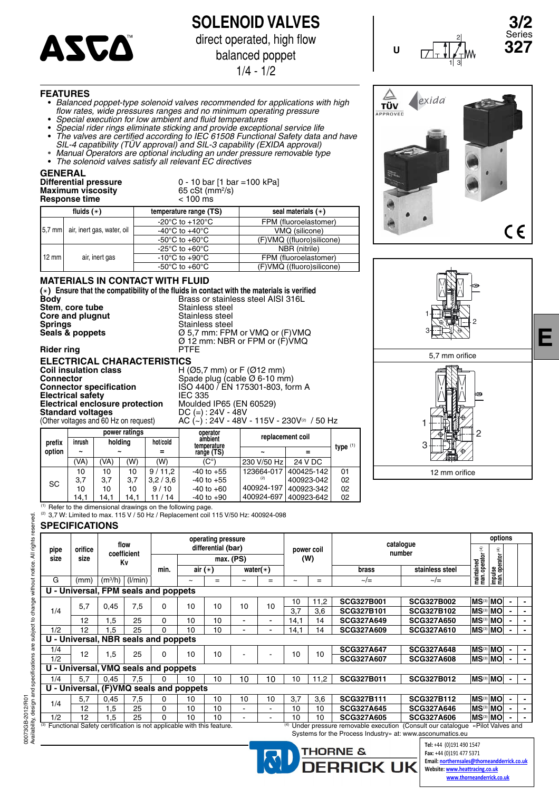

**SOLENOID VALVES** direct operated, high flow

balanced poppet

1/4 - 1/2

#### **FEATURES**

- *Balanced poppet-type solenoid valves recommended for applications with high fl ow rates, wide pressures ranges and no minimum operating pressure*
- *Special execution for low ambient and fl uid temperatures*
- *Special rider rings eliminate sticking and provide exceptional service life* • *The valves are certifi ed according to IEC 61508 Functional Safety data and have*
- *SIL-4 capatibility (TÜV approval) and SIL-3 capability (EXIDA approval)*
- *Manual Operators are optional including an under pressure removable type* • *The solenoid valves satisfy all relevant EC directives*

#### **GENERAL**

#### **Differential pressure** 0 - 10 bar [1 bar =100 kPa] **Maximum viscosity**<br> **Maximum viscosity**<br> **Maximum viscosity**<br> **Compare time**<br>  $\leq 100 \text{ ms}$ **Response time**

/s)

**Seals & poppets** Ø 5,7 mm: FPM or VMQ or (F)VMQ

|                 | fluids $(*)$                        | temperature range (TS)                               | seal materials $(*)$      |
|-----------------|-------------------------------------|------------------------------------------------------|---------------------------|
|                 |                                     | -20 $^{\circ}$ C to +120 $^{\circ}$ C                | FPM (fluoroelastomer)     |
|                 | 5,7 mm   air, inert gas, water, oil | -40 $^{\circ}$ C to +40 $^{\circ}$ C                 | VMQ (silicone)            |
|                 |                                     | -50 $\mathrm{^{\circ}C}$ to +60 $\mathrm{^{\circ}C}$ | (F)VMQ ((fluoro)silicone) |
|                 |                                     | -25 $^{\circ}$ C to +60 $^{\circ}$ C                 | NBR (nitrile)             |
| $12 \text{ mm}$ | air, inert gas                      | -10 $\mathrm{^{\circ}C}$ to +90 $\mathrm{^{\circ}C}$ | FPM (fluoroelastomer)     |
|                 |                                     | -50 $\mathrm{^{\circ}C}$ to +60 $\mathrm{^{\circ}C}$ | (F)VMQ ((fluoro)silicone) |

#### **MATERIALS IN CONTACT WITH FLUID**

(\*) Ensure that the compatibility of the fluids in contact with the materials is verified **Body** Brass or stainless steel AISI 316L **Stem, core tube** <br> **Core and plugnut Core and plugnut** Stainless steel **Core and plugnut Springs Springs Stainless steel**<br> **Stainless steel**<br>  $\varnothing$  5,7 mm: FPN

**Rider ring** 

Ø 12 mm: NBR or FPM or (F)VMQ **ELECTRICAL CHARACTERISTICS**<br>
Coil insulation class
H( **Coil insulation class** H (Ø5,7 mm) or F (Ø12 mm) **Connector Connector Connector Connector Spade plug (cable Ø 6-10 mm) Connector specification** ISO 4400 / EN 175301-803, form A Electrical safety<br> **Electrical safety**<br> **ELEC 335**<br> **Electrical enclosure protection**<br> **Moulded IP65 (EN 60529) Electrical enclosure protection**<br>Standard voltages **Standard voltages** DC (=) : 24V - 48V

(Other voltages and 60 Hz on request)  $AC (\sim): 24V - 48V - 115V - 230V$ <sup>(2)</sup> / 50 Hz

| 60 Hz on request) | AC ( |
|-------------------|------|
|-------------------|------|

|        |                       |                       | power ratings |          | operator               | replacement coil      |            |    |  |  |
|--------|-----------------------|-----------------------|---------------|----------|------------------------|-----------------------|------------|----|--|--|
| prefix | inrush                | holding               |               | hot/cold | ambient<br>temperature |                       | type $(1)$ |    |  |  |
| option | $\tilde{\phantom{a}}$ | $\tilde{\phantom{a}}$ |               |          | range (TS)             | $\tilde{\phantom{a}}$ |            |    |  |  |
|        | (VA)                  | 'VA)                  | (W)           | (W)      | $(C^{\circ})$          | 230 V/50 Hz           | 24 V DC    |    |  |  |
| SC     | 10                    | 10<br>10              |               | 9/11.2   | $-40$ to $+55$         | 123664-017            | 400425-142 | 01 |  |  |
|        | 3,7                   | 3.7                   | 3,7           | 3,2/3,6  | $-40$ to $+55$         | (2)                   | 400923-042 | 02 |  |  |
|        | 10                    | 10                    | 10            | 9/10     | $-40$ to $+60$         | 400924-197            | 400923-342 | 02 |  |  |
|        | 14,1                  | 14.1                  | 14.1          | 11 / 14  | $-40$ to $+90$         | 400924-697            | 400923-642 | 02 |  |  |





2

**3/2** Series



**E**

(1) Refer to the dimensional drawings on the following page.

(2) 3,7 W: Limited to max. 115 V / 50 Hz / Replacement coil 115 V/50 Hz: 400924-098

#### **SPECIFICATIONS**

|      |                                                                                                                                                                                                                                                                                                                                                                                                                                                                                                                                                                                                                                                                                                                                                                                                                                                                                                                                              |           |         |      | operating pressure    |     |                       |                          |      |      |                   |                   | options |   |                |                          |  |  |
|------|----------------------------------------------------------------------------------------------------------------------------------------------------------------------------------------------------------------------------------------------------------------------------------------------------------------------------------------------------------------------------------------------------------------------------------------------------------------------------------------------------------------------------------------------------------------------------------------------------------------------------------------------------------------------------------------------------------------------------------------------------------------------------------------------------------------------------------------------------------------------------------------------------------------------------------------------|-----------|---------|------|-----------------------|-----|-----------------------|--------------------------|------|------|-------------------|-------------------|---------|---|----------------|--------------------------|--|--|
| pipe | orifice                                                                                                                                                                                                                                                                                                                                                                                                                                                                                                                                                                                                                                                                                                                                                                                                                                                                                                                                      |           |         |      |                       |     |                       |                          |      |      |                   |                   |         | € |                |                          |  |  |
| size | size                                                                                                                                                                                                                                                                                                                                                                                                                                                                                                                                                                                                                                                                                                                                                                                                                                                                                                                                         |           |         |      |                       |     |                       |                          |      |      |                   |                   |         |   |                |                          |  |  |
|      |                                                                                                                                                                                                                                                                                                                                                                                                                                                                                                                                                                                                                                                                                                                                                                                                                                                                                                                                              |           |         | min. |                       |     |                       |                          |      |      | brass             | stainless steel   |         |   |                |                          |  |  |
| G    | (mm)                                                                                                                                                                                                                                                                                                                                                                                                                                                                                                                                                                                                                                                                                                                                                                                                                                                                                                                                         | $(m^3/h)$ | (1/min) |      | $\tilde{\phantom{a}}$ | $=$ | $\tilde{\phantom{a}}$ | $=$                      | -    | $=$  | $\sim/\equiv$     | $\sim/\equiv$     |         |   |                |                          |  |  |
|      |                                                                                                                                                                                                                                                                                                                                                                                                                                                                                                                                                                                                                                                                                                                                                                                                                                                                                                                                              |           |         |      |                       |     |                       |                          |      |      |                   |                   |         |   |                |                          |  |  |
|      |                                                                                                                                                                                                                                                                                                                                                                                                                                                                                                                                                                                                                                                                                                                                                                                                                                                                                                                                              |           |         |      |                       |     | 10                    |                          | 10   | 11,2 | <b>SCG327B001</b> | <b>SCG327B002</b> |         |   |                |                          |  |  |
| 1/4  |                                                                                                                                                                                                                                                                                                                                                                                                                                                                                                                                                                                                                                                                                                                                                                                                                                                                                                                                              |           |         |      |                       |     |                       |                          | 3.7  | 3,6  | <b>SCG327B101</b> | <b>SCG327B102</b> |         |   |                |                          |  |  |
|      | 12                                                                                                                                                                                                                                                                                                                                                                                                                                                                                                                                                                                                                                                                                                                                                                                                                                                                                                                                           | 1,5       | 25      | 0    | 10                    | 10  | ۰                     | $\overline{\phantom{0}}$ | 14,1 | 14   | <b>SCG327A649</b> | <b>SCG327A650</b> |         |   |                |                          |  |  |
| 1/2  | 12                                                                                                                                                                                                                                                                                                                                                                                                                                                                                                                                                                                                                                                                                                                                                                                                                                                                                                                                           | 1,5       | 25      | 0    | 10                    | 10  |                       |                          | 14,1 | 14   | <b>SCG327A609</b> | <b>SCG327A610</b> |         |   |                |                          |  |  |
|      |                                                                                                                                                                                                                                                                                                                                                                                                                                                                                                                                                                                                                                                                                                                                                                                                                                                                                                                                              |           |         |      |                       |     |                       |                          |      |      |                   |                   |         |   |                |                          |  |  |
| 1/4  |                                                                                                                                                                                                                                                                                                                                                                                                                                                                                                                                                                                                                                                                                                                                                                                                                                                                                                                                              |           |         |      |                       |     |                       |                          |      |      | <b>SCG327A647</b> | <b>SCG327A648</b> |         |   |                |                          |  |  |
| 1/2  |                                                                                                                                                                                                                                                                                                                                                                                                                                                                                                                                                                                                                                                                                                                                                                                                                                                                                                                                              |           |         |      |                       |     |                       |                          |      |      | <b>SCG327A607</b> | <b>SCG327A608</b> |         |   | $\blacksquare$ |                          |  |  |
|      |                                                                                                                                                                                                                                                                                                                                                                                                                                                                                                                                                                                                                                                                                                                                                                                                                                                                                                                                              |           |         |      |                       |     |                       |                          |      |      |                   |                   |         |   |                |                          |  |  |
| 1/4  | 5.7                                                                                                                                                                                                                                                                                                                                                                                                                                                                                                                                                                                                                                                                                                                                                                                                                                                                                                                                          | 0,45      | 7,5     | 0    | 10                    | 10  | 10                    | 10                       | 10   | 11,2 | <b>SCG327B011</b> | <b>SCG327B012</b> |         |   |                |                          |  |  |
|      |                                                                                                                                                                                                                                                                                                                                                                                                                                                                                                                                                                                                                                                                                                                                                                                                                                                                                                                                              |           |         |      |                       |     |                       |                          |      |      |                   |                   |         |   |                |                          |  |  |
| 1/4  | 5,7                                                                                                                                                                                                                                                                                                                                                                                                                                                                                                                                                                                                                                                                                                                                                                                                                                                                                                                                          | 0,45      | 7,5     | 0    | 10                    | 10  | 10                    | 10                       | 3,7  | 3,6  | <b>SCG327B111</b> | <b>SCG327B112</b> |         |   |                |                          |  |  |
|      | 12                                                                                                                                                                                                                                                                                                                                                                                                                                                                                                                                                                                                                                                                                                                                                                                                                                                                                                                                           | 1,5       | 25      | 0    | 10                    | 10  | $\blacksquare$        |                          | 10   | 10   | <b>SCG327A645</b> | <b>SCG327A646</b> |         |   |                | $\overline{\phantom{0}}$ |  |  |
| 1/2  | 12                                                                                                                                                                                                                                                                                                                                                                                                                                                                                                                                                                                                                                                                                                                                                                                                                                                                                                                                           | 1.5       | 25      | 0    | 10                    | 10  | $\blacksquare$        |                          | 10   | 10   | <b>SCG327A605</b> | <b>SCG327A606</b> |         |   |                |                          |  |  |
|      | catalogue<br>flow<br>differential (bar)<br>maintained<br>man. operator (4)<br>power coil<br>number<br>coefficient<br>impulse<br>man.operator (<br>(W)<br>max. (PS)<br>Κv<br>air $(*)$<br>water $(*)$<br>U - Universal, FPM seals and poppets<br><b>MS<sup>(3)</sup>MO</b><br>5,7<br>7,5<br>10<br>0,45<br>10<br>10<br>0<br>∣MSଔIMOI<br>MS <sup>(3)</sup> MO<br><b>MS(3)</b> MO<br>U - Universal, NBR seals and poppets<br><b>MS<sup>(3)</sup>MO</b><br>10<br>12<br>1,5<br>25<br>10<br>10<br>10<br>0<br><b>MS<sup>(3)</sup>MO</b><br>U - Universal, VMQ seals and poppets<br><b>MS<sup>(3)</sup>MO</b><br>U - Universal, (F)VMQ seals and poppets<br><b>MS<sup>(3)</sup>MO</b><br>∣MSଔIMOI<br>ାMS <sup>ଔ</sup> ାMOା<br>(3) Functional Safety certification is not applicable with this feature.<br>«Pilot Valves and<br>Under pressure removable execution (Consult our catalogue<br>Systems for the Process Industry» at: www.asconumatics.eu |           |         |      |                       |     |                       |                          |      |      |                   |                   |         |   |                |                          |  |  |
|      |                                                                                                                                                                                                                                                                                                                                                                                                                                                                                                                                                                                                                                                                                                                                                                                                                                                                                                                                              |           |         |      |                       |     |                       |                          |      |      |                   |                   |         |   |                |                          |  |  |

**DERRICK UK** 

**Allette SC** *Fax: +44 (0)191 477 5371* V572-1 Tel: +44 (0)191 490 1547 Email: northernsales@thorneandderrick.co.uk Website: www.heattracing.co.uk www.thorneanderrick.co.uk